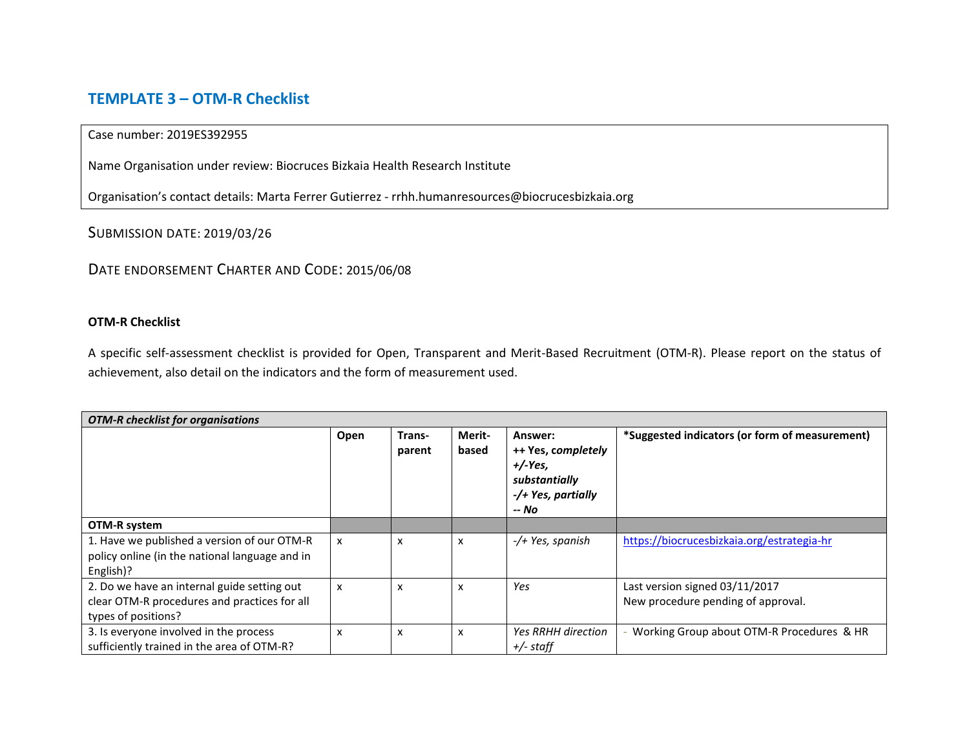## **TEMPLATE 3 – OTM-R Checklist**

## Case number: 2019ES392955

Name Organisation under review: Biocruces Bizkaia Health Research Institute

Organisation's contact details: Marta Ferrer Gutierrez - rrhh.humanresources@biocrucesbizkaia.org

SUBMISSION DATE: 2019/03/26

## DATE ENDORSEMENT CHARTER AND CODE: 2015/06/08

## **OTM-R Checklist**

A specific self-assessment checklist is provided for Open, Transparent and Merit-Based Recruitment (OTM-R). Please report on the status of achievement, also detail on the indicators and the form of measurement used.

| <b>OTM-R</b> checklist for organisations                                                                           |      |                  |                           |                                                                                            |                                                                      |  |  |
|--------------------------------------------------------------------------------------------------------------------|------|------------------|---------------------------|--------------------------------------------------------------------------------------------|----------------------------------------------------------------------|--|--|
|                                                                                                                    | Open | Trans-<br>parent | Merit-<br>based           | Answer:<br>++ Yes, completely<br>$+/-Yes.$<br>substantially<br>-/+ Yes, partially<br>-- No | *Suggested indicators (or form of measurement)                       |  |  |
| OTM-R system                                                                                                       |      |                  |                           |                                                                                            |                                                                      |  |  |
| 1. Have we published a version of our OTM-R<br>policy online (in the national language and in<br>English)?         | x    | X                | $\boldsymbol{\mathsf{x}}$ | -/+ Yes, spanish                                                                           | https://biocrucesbizkaia.org/estrategia-hr                           |  |  |
| 2. Do we have an internal guide setting out<br>clear OTM-R procedures and practices for all<br>types of positions? | x    | X                | $\boldsymbol{\mathsf{x}}$ | Yes                                                                                        | Last version signed 03/11/2017<br>New procedure pending of approval. |  |  |
| 3. Is everyone involved in the process<br>sufficiently trained in the area of OTM-R?                               | x    | X                | $\boldsymbol{\mathsf{x}}$ | <b>Yes RRHH direction</b><br>$+/-$ staff                                                   | Working Group about OTM-R Procedures & HR                            |  |  |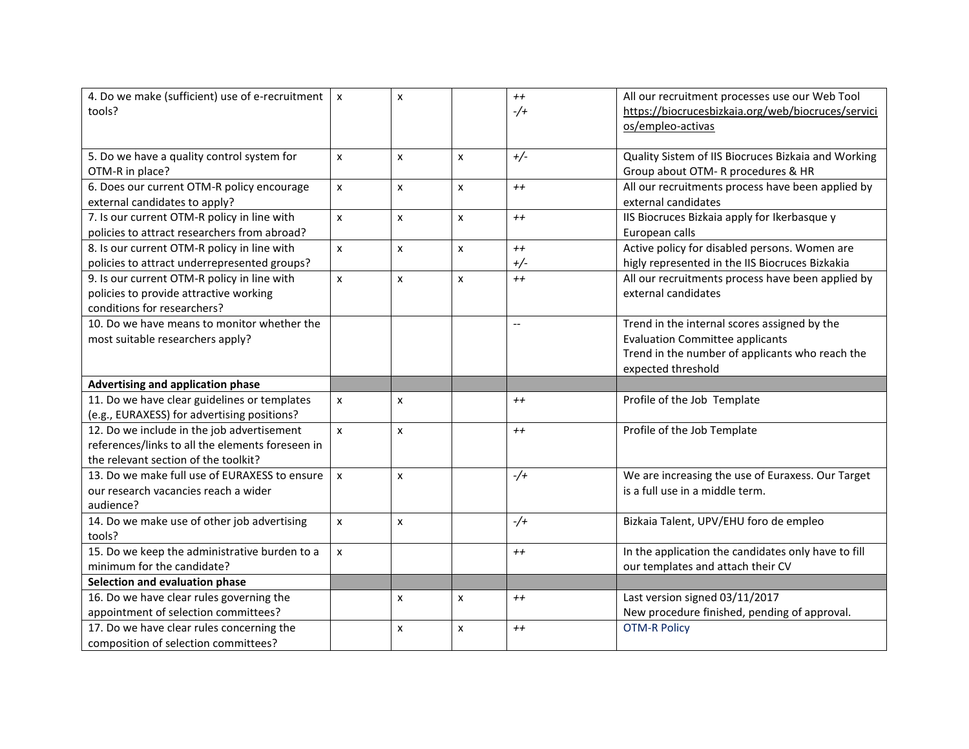| 4. Do we make (sufficient) use of e-recruitment<br>tools? | $\pmb{\chi}$       | X                |                           | $++$<br>$-$ /+           | All our recruitment processes use our Web Tool<br>https://biocrucesbizkaia.org/web/biocruces/servici<br>os/empleo-activas |
|-----------------------------------------------------------|--------------------|------------------|---------------------------|--------------------------|---------------------------------------------------------------------------------------------------------------------------|
|                                                           |                    |                  |                           |                          |                                                                                                                           |
| 5. Do we have a quality control system for                | X                  | X                | $\pmb{\times}$            | $+/-$                    | Quality Sistem of IIS Biocruces Bizkaia and Working                                                                       |
| OTM-R in place?                                           |                    |                  |                           |                          | Group about OTM- R procedures & HR                                                                                        |
| 6. Does our current OTM-R policy encourage                | $\pmb{\mathsf{x}}$ | $\boldsymbol{x}$ | $\mathsf{x}$              | $++$                     | All our recruitments process have been applied by                                                                         |
| external candidates to apply?                             |                    |                  |                           |                          | external candidates                                                                                                       |
| 7. Is our current OTM-R policy in line with               | $\mathsf{x}$       | $\mathsf{x}$     | $\mathsf{x}$              | $++$                     | IIS Biocruces Bizkaia apply for Ikerbasque y                                                                              |
| policies to attract researchers from abroad?              |                    |                  |                           |                          | European calls                                                                                                            |
| 8. Is our current OTM-R policy in line with               | $\pmb{\mathsf{x}}$ | $\pmb{\times}$   | $\pmb{\times}$            | $++$                     | Active policy for disabled persons. Women are                                                                             |
| policies to attract underrepresented groups?              |                    |                  |                           | $+/-$                    | higly represented in the IIS Biocruces Bizkakia                                                                           |
| 9. Is our current OTM-R policy in line with               | $\pmb{\times}$     | $\pmb{\times}$   | $\boldsymbol{\mathsf{x}}$ | $++$                     | All our recruitments process have been applied by                                                                         |
| policies to provide attractive working                    |                    |                  |                           |                          | external candidates                                                                                                       |
| conditions for researchers?                               |                    |                  |                           |                          |                                                                                                                           |
| 10. Do we have means to monitor whether the               |                    |                  |                           | $\overline{\phantom{a}}$ | Trend in the internal scores assigned by the                                                                              |
| most suitable researchers apply?                          |                    |                  |                           |                          | <b>Evaluation Committee applicants</b>                                                                                    |
|                                                           |                    |                  |                           |                          | Trend in the number of applicants who reach the                                                                           |
|                                                           |                    |                  |                           |                          | expected threshold                                                                                                        |
| Advertising and application phase                         |                    |                  |                           |                          |                                                                                                                           |
| 11. Do we have clear guidelines or templates              | $\pmb{\times}$     | $\pmb{\times}$   |                           | $++$                     | Profile of the Job Template                                                                                               |
| (e.g., EURAXESS) for advertising positions?               |                    |                  |                           |                          |                                                                                                                           |
| $12.$ Do we include in the job advertisement              | $\pmb{\times}$     | $\pmb{\times}$   |                           | $++$                     | Profile of the Job Template                                                                                               |
| references/links to all the elements foreseen in          |                    |                  |                           |                          |                                                                                                                           |
| the relevant section of the toolkit?                      |                    |                  |                           |                          |                                                                                                                           |
| 13. Do we make full use of EURAXESS to ensure             | $\pmb{\mathsf{x}}$ | $\pmb{\times}$   |                           | $-$ /+                   | We are increasing the use of Euraxess. Our Target                                                                         |
| our research vacancies reach a wider                      |                    |                  |                           |                          | is a full use in a middle term.                                                                                           |
| audience?                                                 |                    |                  |                           |                          |                                                                                                                           |
| 14. Do we make use of other job advertising               | $\pmb{\mathsf{x}}$ | X                |                           | $-$ /+                   | Bizkaia Talent, UPV/EHU foro de empleo                                                                                    |
| tools?                                                    |                    |                  |                           |                          |                                                                                                                           |
| 15. Do we keep the administrative burden to a             | $\pmb{\times}$     |                  |                           | $++$                     | In the application the candidates only have to fill                                                                       |
| minimum for the candidate?                                |                    |                  |                           |                          | our templates and attach their CV                                                                                         |
| Selection and evaluation phase                            |                    |                  |                           |                          |                                                                                                                           |
| 16. Do we have clear rules governing the                  |                    | X                | $\pmb{\times}$            | $++$                     | Last version signed 03/11/2017                                                                                            |
| appointment of selection committees?                      |                    |                  |                           |                          | New procedure finished, pending of approval.                                                                              |
| 17. Do we have clear rules concerning the                 |                    | X                | $\pmb{\times}$            | $++$                     | <b>OTM-R Policy</b>                                                                                                       |
| composition of selection committees?                      |                    |                  |                           |                          |                                                                                                                           |